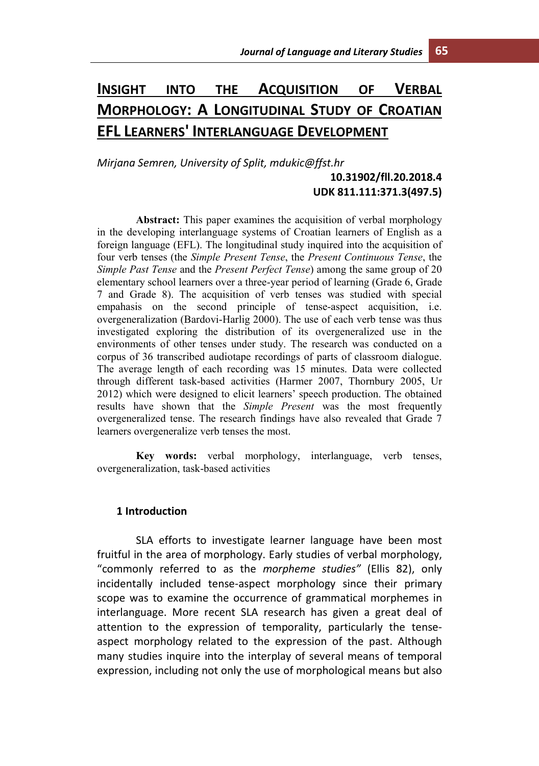# **INSIGHT INTO THE ACQUISITION OF VERBAL MORPHOLOGY: A LONGITUDINAL STUDY OF CROATIAN EFL LEARNERS' INTERLANGUAGE DEVELOPMENT**

*Mirjana Semren, University of Split, mdukic@ffst.hr*

## **10.31902/fll.20.2018.4 UDK 811.111:371.3(497.5)**

**Abstract:** This paper examines the acquisition of verbal morphology in the developing interlanguage systems of Croatian learners of English as a foreign language (EFL). The longitudinal study inquired into the acquisition of four verb tenses (the *Simple Present Tense*, the *Present Continuous Tense*, the *Simple Past Tense* and the *Present Perfect Tense*) among the same group of 20 elementary school learners over a three-year period of learning (Grade 6, Grade 7 and Grade 8). The acquisition of verb tenses was studied with special empahasis on the second principle of tense-aspect acquisition, i.e. overgeneralization (Bardovi-Harlig 2000). The use of each verb tense was thus investigated exploring the distribution of its overgeneralized use in the environments of other tenses under study. The research was conducted on a corpus of 36 transcribed audiotape recordings of parts of classroom dialogue. The average length of each recording was 15 minutes. Data were collected through different task-based activities (Harmer 2007, Thornbury 2005, Ur 2012) which were designed to elicit learners' speech production. The obtained results have shown that the *Simple Present* was the most frequently overgeneralized tense. The research findings have also revealed that Grade 7 learners overgeneralize verb tenses the most.

**Key words:** verbal morphology, interlanguage, verb tenses, overgeneralization, task-based activities

#### **1 Introduction**

SLA efforts to investigate learner language have been most fruitful in the area of morphology. Early studies of verbal morphology, "commonly referred to as the *morpheme studies"* (Ellis 82), only incidentally included tense-aspect morphology since their primary scope was to examine the occurrence of grammatical morphemes in interlanguage. More recent SLA research has given a great deal of attention to the expression of temporality, particularly the tenseaspect morphology related to the expression of the past. Although many studies inquire into the interplay of several means of temporal expression, including not only the use of morphological means but also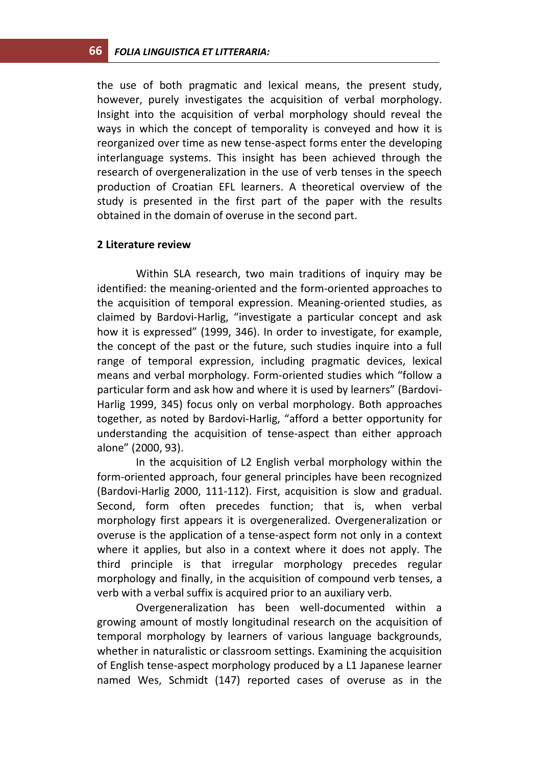## **66** *FOLIA LINGUISTICA ET LITTERARIA:*

the use of both pragmatic and lexical means, the present study, however, purely investigates the acquisition of verbal morphology. Insight into the acquisition of verbal morphology should reveal the ways in which the concept of temporality is conveyed and how it is reorganized over time as new tense-aspect forms enter the developing interlanguage systems. This insight has been achieved through the research of overgeneralization in the use of verb tenses in the speech production of Croatian EFL learners. A theoretical overview of the study is presented in the first part of the paper with the results obtained in the domain of overuse in the second part.

#### **2 Literature review**

Within SLA research, two main traditions of inquiry may be identified: the meaning-oriented and the form-oriented approaches to the acquisition of temporal expression. Meaning-oriented studies, as claimed by Bardovi-Harlig, "investigate a particular concept and ask how it is expressed" (1999, 346). In order to investigate, for example, the concept of the past or the future, such studies inquire into a full range of temporal expression, including pragmatic devices, lexical means and verbal morphology. Form-oriented studies which "follow a particular form and ask how and where it is used by learners" (Bardovi-Harlig 1999, 345) focus only on verbal morphology. Both approaches together, as noted by Bardovi-Harlig, "afford a better opportunity for understanding the acquisition of tense-aspect than either approach alone" (2000, 93).

In the acquisition of L2 English verbal morphology within the form-oriented approach, four general principles have been recognized (Bardovi-Harlig 2000, 111-112). First, acquisition is slow and gradual. Second, form often precedes function; that is, when verbal morphology first appears it is overgeneralized. Overgeneralization or overuse is the application of a tense-aspect form not only in a context where it applies, but also in a context where it does not apply. The third principle is that irregular morphology precedes regular morphology and finally, in the acquisition of compound verb tenses, a verb with a verbal suffix is acquired prior to an auxiliary verb.

Overgeneralization has been well-documented within a growing amount of mostly longitudinal research on the acquisition of temporal morphology by learners of various language backgrounds, whether in naturalistic or classroom settings. Examining the acquisition of English tense-aspect morphology produced by a L1 Japanese learner named Wes, Schmidt (147) reported cases of overuse as in the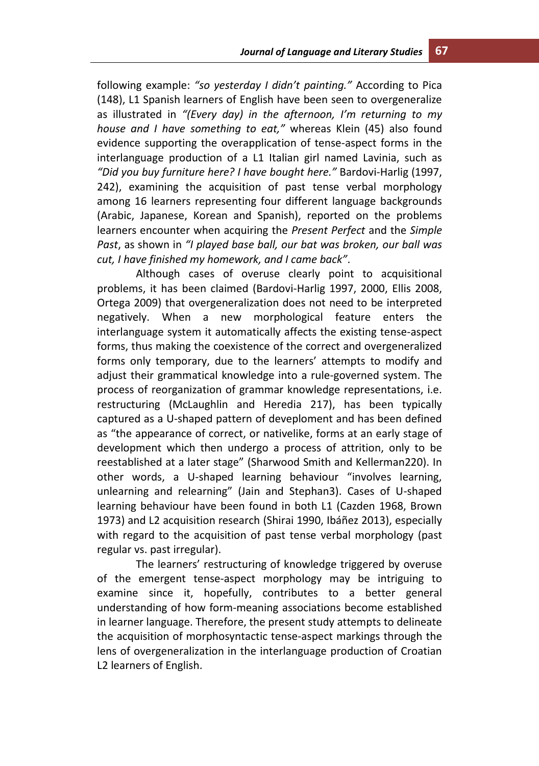following example: *"so yesterday I didn't painting."* According to Pica (148), L1 Spanish learners of English have been seen to overgeneralize as illustrated in *"(Every day) in the afternoon, I'm returning to my house and I have something to eat,"* whereas Klein (45) also found evidence supporting the overapplication of tense-aspect forms in the interlanguage production of a L1 Italian girl named Lavinia, such as *"Did you buy furniture here? I have bought here."* Bardovi-Harlig (1997, 242), examining the acquisition of past tense verbal morphology among 16 learners representing four different language backgrounds (Arabic, Japanese, Korean and Spanish), reported on the problems learners encounter when acquiring the *Present Perfect* and the *Simple Past*, as shown in *"I played base ball, our bat was broken, our ball was cut, I have finished my homework, and I came back"*.

Although cases of overuse clearly point to acquisitional problems, it has been claimed (Bardovi-Harlig 1997, 2000, Ellis 2008, Ortega 2009) that overgeneralization does not need to be interpreted negatively. When a new morphological feature enters the interlanguage system it automatically affects the existing tense-aspect forms, thus making the coexistence of the correct and overgeneralized forms only temporary, due to the learners' attempts to modify and adjust their grammatical knowledge into a rule-governed system. The process of reorganization of grammar knowledge representations, i.e. restructuring (McLaughlin and Heredia 217), has been typically captured as a U-shaped pattern of deveploment and has been defined as "the appearance of correct, or nativelike, forms at an early stage of development which then undergo a process of attrition, only to be reestablished at a later stage" (Sharwood Smith and Kellerman220). In other words, a U-shaped learning behaviour "involves learning, unlearning and relearning" (Jain and Stephan3). Cases of U-shaped learning behaviour have been found in both L1 (Cazden 1968, Brown 1973) and L2 acquisition research (Shirai 1990, Ibáñez 2013), especially with regard to the acquisition of past tense verbal morphology (past regular vs. past irregular).

The learners' restructuring of knowledge triggered by overuse of the emergent tense-aspect morphology may be intriguing to examine since it, hopefully, contributes to a better general understanding of how form-meaning associations become established in learner language. Therefore, the present study attempts to delineate the acquisition of morphosyntactic tense-aspect markings through the lens of overgeneralization in the interlanguage production of Croatian L2 learners of English.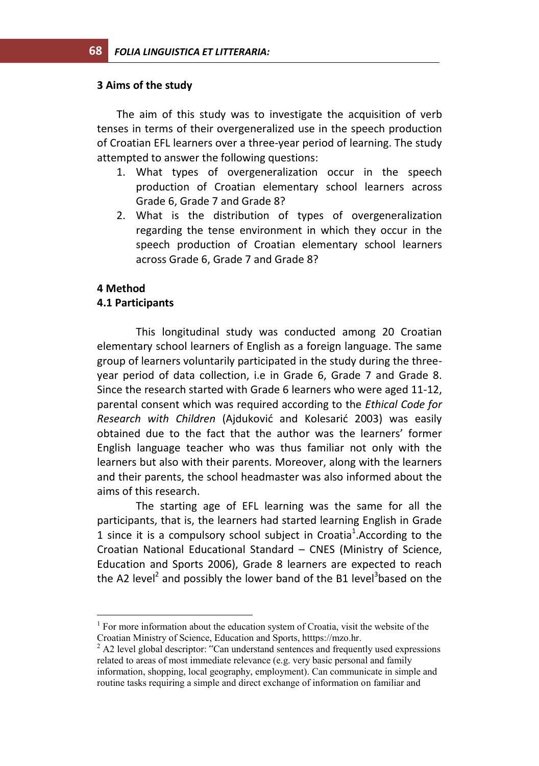#### **3 Aims of the study**

The aim of this study was to investigate the acquisition of verb tenses in terms of their overgeneralized use in the speech production of Croatian EFL learners over a three-year period of learning. The study attempted to answer the following questions:

- 1. What types of overgeneralization occur in the speech production of Croatian elementary school learners across Grade 6, Grade 7 and Grade 8?
- 2. What is the distribution of types of overgeneralization regarding the tense environment in which they occur in the speech production of Croatian elementary school learners across Grade 6, Grade 7 and Grade 8?

#### **4 Method**

 $\overline{a}$ 

### **4.1 Participants**

This longitudinal study was conducted among 20 Croatian elementary school learners of English as a foreign language. The same group of learners voluntarily participated in the study during the threeyear period of data collection, i.e in Grade 6, Grade 7 and Grade 8. Since the research started with Grade 6 learners who were aged 11-12, parental consent which was required according to the *Ethical Code for Research with Children* (Ajduković and Kolesarić 2003) was easily obtained due to the fact that the author was the learners' former English language teacher who was thus familiar not only with the learners but also with their parents. Moreover, along with the learners and their parents, the school headmaster was also informed about the aims of this research.

The starting age of EFL learning was the same for all the participants, that is, the learners had started learning English in Grade 1 since it is a compulsory school subject in Croatia<sup>1</sup>. According to the Croatian National Educational Standard – CNES (Ministry of Science, Education and Sports 2006), Grade 8 learners are expected to reach the A2 level<sup>2</sup> and possibly the lower band of the B1 level<sup>3</sup>based on the

 $1$  For more information about the education system of Croatia, visit the website of the Croatian Ministry of Science, Education and Sports, https://mzo.hr.

<sup>2</sup> A2 level global descriptor: "Can understand sentences and frequently used expressions related to areas of most immediate relevance (e.g. very basic personal and family information, shopping, local geography, employment). Can communicate in simple and routine tasks requiring a simple and direct exchange of information on familiar and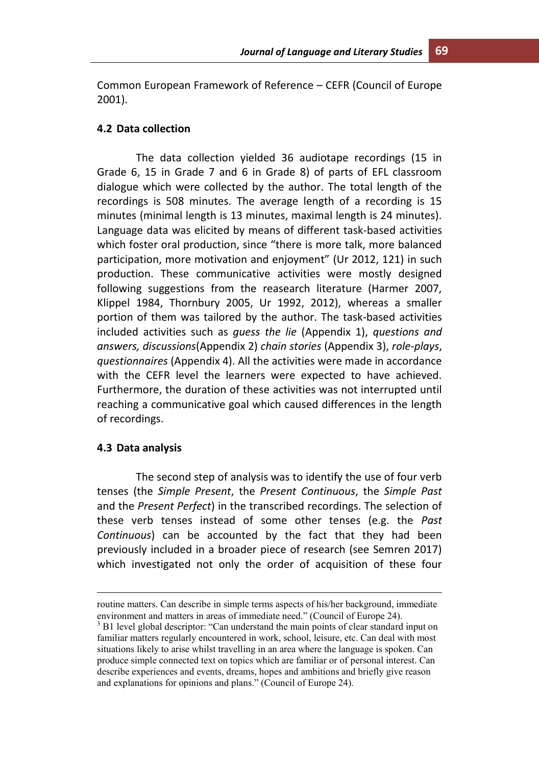Common European Framework of Reference – CEFR (Council of Europe 2001).

## **4.2 Data collection**

The data collection yielded 36 audiotape recordings (15 in Grade 6, 15 in Grade 7 and 6 in Grade 8) of parts of EFL classroom dialogue which were collected by the author. The total length of the recordings is 508 minutes. The average length of a recording is 15 minutes (minimal length is 13 minutes, maximal length is 24 minutes). Language data was elicited by means of different task-based activities which foster oral production, since "there is more talk, more balanced participation, more motivation and enjoyment" (Ur 2012, 121) in such production. These communicative activities were mostly designed following suggestions from the reasearch literature (Harmer 2007, Klippel 1984, Thornbury 2005, Ur 1992, 2012), whereas a smaller portion of them was tailored by the author. The task-based activities included activities such as *guess the lie* (Appendix 1), *questions and answers, discussions*(Appendix 2) *chain stories* (Appendix 3), *role-plays*, *questionnaires* (Appendix 4). All the activities were made in accordance with the CEFR level the learners were expected to have achieved. Furthermore, the duration of these activities was not interrupted until reaching a communicative goal which caused differences in the length of recordings.

#### **4.3 Data analysis**

1

The second step of analysis was to identify the use of four verb tenses (the *Simple Present*, the *Present Continuous*, the *Simple Past* and the *Present Perfect*) in the transcribed recordings. The selection of these verb tenses instead of some other tenses (e.g. the *Past Continuous*) can be accounted by the fact that they had been previously included in a broader piece of research (see Semren 2017) which investigated not only the order of acquisition of these four

routine matters. Can describe in simple terms aspects of his/her background, immediate environment and matters in areas of immediate need." (Council of Europe 24).

<sup>&</sup>lt;sup>3</sup> B1 level global descriptor: "Can understand the main points of clear standard input on familiar matters regularly encountered in work, school, leisure, etc. Can deal with most situations likely to arise whilst travelling in an area where the language is spoken. Can produce simple connected text on topics which are familiar or of personal interest. Can describe experiences and events, dreams, hopes and ambitions and briefly give reason and explanations for opinions and plans." (Council of Europe 24).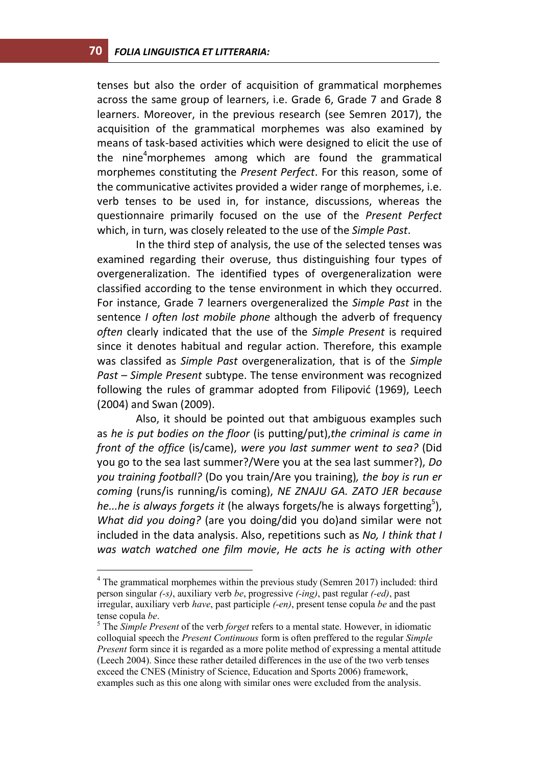tenses but also the order of acquisition of grammatical morphemes across the same group of learners, i.e. Grade 6, Grade 7 and Grade 8 learners. Moreover, in the previous research (see Semren 2017), the acquisition of the grammatical morphemes was also examined by means of task-based activities which were designed to elicit the use of the nine<sup>4</sup>morphemes among which are found the grammatical morphemes constituting the *Present Perfect*. For this reason, some of the communicative activites provided a wider range of morphemes, i.e. verb tenses to be used in, for instance, discussions, whereas the questionnaire primarily focused on the use of the *Present Perfect* which, in turn, was closely releated to the use of the *Simple Past*.

In the third step of analysis, the use of the selected tenses was examined regarding their overuse, thus distinguishing four types of overgeneralization. The identified types of overgeneralization were classified according to the tense environment in which they occurred. For instance, Grade 7 learners overgeneralized the *Simple Past* in the sentence *I often lost mobile phone* although the adverb of frequency *often* clearly indicated that the use of the *Simple Present* is required since it denotes habitual and regular action. Therefore, this example was classifed as *Simple Past* overgeneralization, that is of the *Simple Past* – *Simple Present* subtype. The tense environment was recognized following the rules of grammar adopted from Filipović (1969), Leech (2004) and Swan (2009).

Also, it should be pointed out that ambiguous examples such as *he is put bodies on the floor* (is putting/put),*the criminal is came in front of the office* (is/came), *were you last summer went to sea?* (Did you go to the sea last summer?/Were you at the sea last summer?), *Do you training football?* (Do you train/Are you training)*, the boy is run er coming* (runs/is running/is coming), *NE ZNAJU GA. ZATO JER because*  he...he is always forgets it (he always forgets/he is always forgetting<sup>5</sup>), *What did you doing?* (are you doing/did you do)and similar were not included in the data analysis. Also, repetitions such as *No, I think that I was watch watched one film movie*, *He acts he is acting with other* 

 $\overline{a}$ 

<sup>&</sup>lt;sup>4</sup> The grammatical morphemes within the previous study (Semren 2017) included: third person singular *(-s)*, auxiliary verb *be*, progressive *(-ing)*, past regular *(-ed)*, past irregular, auxiliary verb *have*, past participle *(-en)*, present tense copula *be* and the past tense copula *be*.

<sup>5</sup> The *Simple Present* of the verb *forget* refers to a mental state. However, in idiomatic colloquial speech the *Present Continuous* form is often preffered to the regular *Simple Present* form since it is regarded as a more polite method of expressing a mental attitude (Leech 2004). Since these rather detailed differences in the use of the two verb tenses exceed the CNES (Ministry of Science, Education and Sports 2006) framework, examples such as this one along with similar ones were excluded from the analysis.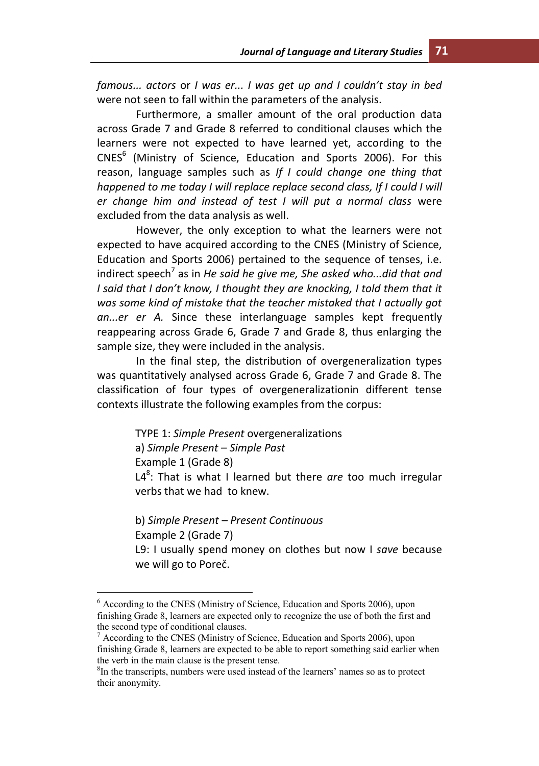*famous... actors* or *I was er... I was get up and I couldn't stay in bed* were not seen to fall within the parameters of the analysis.

Furthermore, a smaller amount of the oral production data across Grade 7 and Grade 8 referred to conditional clauses which the learners were not expected to have learned yet, according to the CNES<sup>6</sup> (Ministry of Science, Education and Sports 2006). For this reason, language samples such as *If I could change one thing that happened to me today I will replace replace second class, If I could I will er change him and instead of test I will put a normal class* were excluded from the data analysis as well.

However, the only exception to what the learners were not expected to have acquired according to the CNES (Ministry of Science, Education and Sports 2006) pertained to the sequence of tenses, i.e. indirect speech<sup>7</sup> as in He said he give me, She asked who...did that and *I* said that *I* don't know, *I* thought they are knocking, *I* told them that it *was some kind of mistake that the teacher mistaked that I actually got an...er er A.* Since these interlanguage samples kept frequently reappearing across Grade 6, Grade 7 and Grade 8, thus enlarging the sample size, they were included in the analysis.

In the final step, the distribution of overgeneralization types was quantitatively analysed across Grade 6, Grade 7 and Grade 8. The classification of four types of overgeneralizationin different tense contexts illustrate the following examples from the corpus:

> TYPE 1: *Simple Present* overgeneralizations a) *Simple Present – Simple Past*  Example 1 (Grade 8) L4<sup>8</sup>: That is what I learned but there *are* too much irregular verbs that we had to knew.

> b) *Simple Present – Present Continuous*  Example 2 (Grade 7) L9: I usually spend money on clothes but now I *save* because we will go to Poreč.

 $\overline{a}$ 

<sup>6</sup> According to the CNES (Ministry of Science, Education and Sports 2006), upon finishing Grade 8, learners are expected only to recognize the use of both the first and the second type of conditional clauses.

<sup>7</sup> According to the CNES (Ministry of Science, Education and Sports 2006), upon finishing Grade 8, learners are expected to be able to report something said earlier when the verb in the main clause is the present tense.

<sup>&</sup>lt;sup>8</sup>In the transcripts, numbers were used instead of the learners' names so as to protect their anonymity.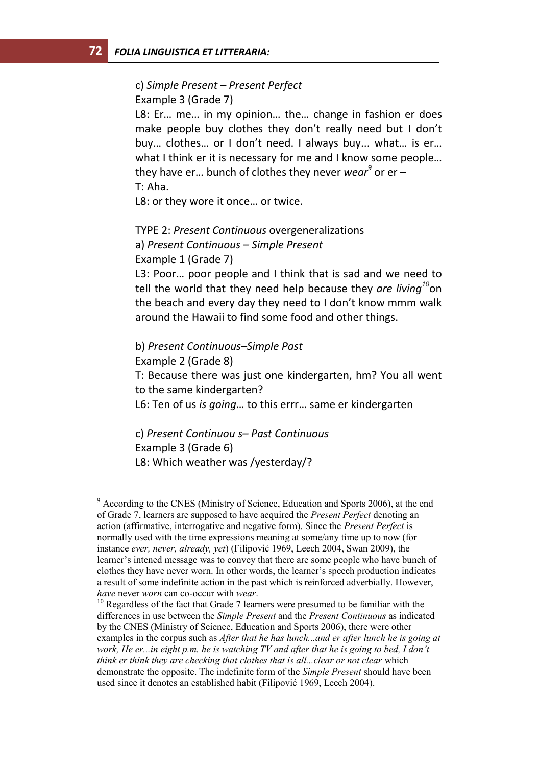## c) *Simple Present – Present Perfect*  Example 3 (Grade 7)

L8: Er… me… in my opinion… the… change in fashion er does make people buy clothes they don't really need but I don't buy… clothes… or I don't need. I always buy... what… is er… what I think er it is necessary for me and I know some people... they have er… bunch of clothes they never *wear<sup>9</sup>* or er – T: Aha.

L8: or they wore it once… or twice.

## TYPE 2: *Present Continuous* overgeneralizations a) *Present Continuous – Simple Present*

Example 1 (Grade 7)

L3: Poor… poor people and I think that is sad and we need to tell the world that they need help because they *are living<sup>10</sup>*on the beach and every day they need to I don't know mmm walk around the Hawaii to find some food and other things.

b) *Present Continuous–Simple Past* 

Example 2 (Grade 8)

 $\overline{a}$ 

T: Because there was just one kindergarten, hm? You all went to the same kindergarten?

L6: Ten of us *is going*… to this errr… same er kindergarten

c) *Present Continuou s– Past Continuous* Example 3 (Grade 6) L8: Which weather was /yesterday/?

<sup>&</sup>lt;sup>9</sup> According to the CNES (Ministry of Science, Education and Sports 2006), at the end of Grade 7, learners are supposed to have acquired the *Present Perfect* denoting an action (affirmative, interrogative and negative form). Since the *Present Perfect* is normally used with the time expressions meaning at some/any time up to now (for instance *ever, never, already, yet*) (Filipović 1969, Leech 2004, Swan 2009), the learner's intened message was to convey that there are some people who have bunch of clothes they have never worn. In other words, the learner's speech production indicates a result of some indefinite action in the past which is reinforced adverbially. However, *have* never *worn* can co-occur with *wear*.

<sup>&</sup>lt;sup>10</sup> Regardless of the fact that Grade 7 learners were presumed to be familiar with the differences in use between the *Simple Present* and the *Present Continuous* as indicated by the CNES (Ministry of Science, Education and Sports 2006), there were other examples in the corpus such as *After that he has lunch...and er after lunch he is going at work, He er...in eight p.m. he is watching TV and after that he is going to bed, I don't think er think they are checking that clothes that is all...clear or not clear* which demonstrate the opposite. The indefinite form of the *Simple Present* should have been used since it denotes an established habit (Filipović 1969, Leech 2004).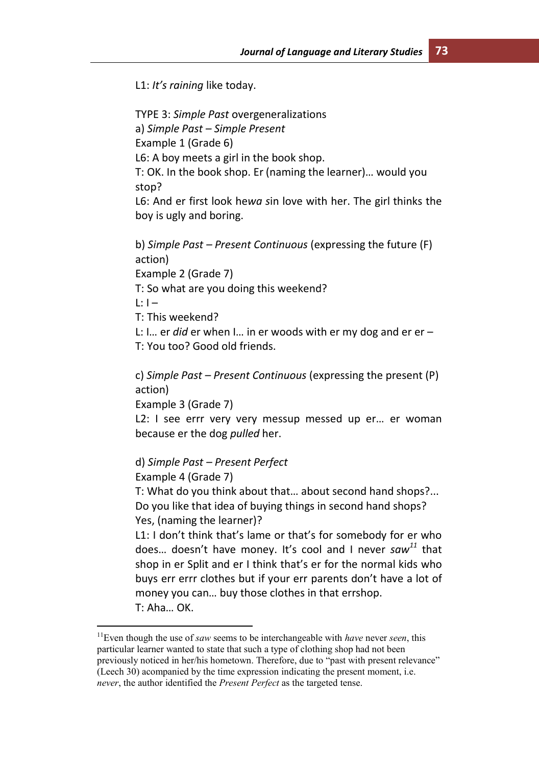L1: *It's raining* like today.

TYPE 3: *Simple Past* overgeneralizations a) *Simple Past – Simple Present* Example 1 (Grade 6) L6: A boy meets a girl in the book shop. T: OK. In the book shop. Er (naming the learner)… would you stop? L6: And er first look he*wa s*in love with her. The girl thinks the boy is ugly and boring.

b) *Simple Past – Present Continuous* (expressing the future (F) action)

Example 2 (Grade 7)

T: So what are you doing this weekend?

 $L: I -$ 

 $\overline{a}$ 

T: This weekend?

L: I… er *did* er when I… in er woods with er my dog and er er – T: You too? Good old friends.

c) *Simple Past – Present Continuous* (expressing the present (P)

action) Example 3 (Grade 7)

L2: I see errr very very messup messed up er… er woman

because er the dog *pulled* her.

d) *Simple Past – Present Perfect* 

Example 4 (Grade 7)

T: What do you think about that… about second hand shops?... Do you like that idea of buying things in second hand shops? Yes, (naming the learner)?

L1: I don't think that's lame or that's for somebody for er who does… doesn't have money. It's cool and I never *saw<sup>11</sup>* that shop in er Split and er I think that's er for the normal kids who buys err errr clothes but if your err parents don't have a lot of money you can… buy those clothes in that errshop. T: Aha… OK.

<sup>11</sup>Even though the use of *saw* seems to be interchangeable with *have* never *seen*, this particular learner wanted to state that such a type of clothing shop had not been previously noticed in her/his hometown. Therefore, due to "past with present relevance" (Leech 30) acompanied by the time expression indicating the present moment, i.e. *never*, the author identified the *Present Perfect* as the targeted tense.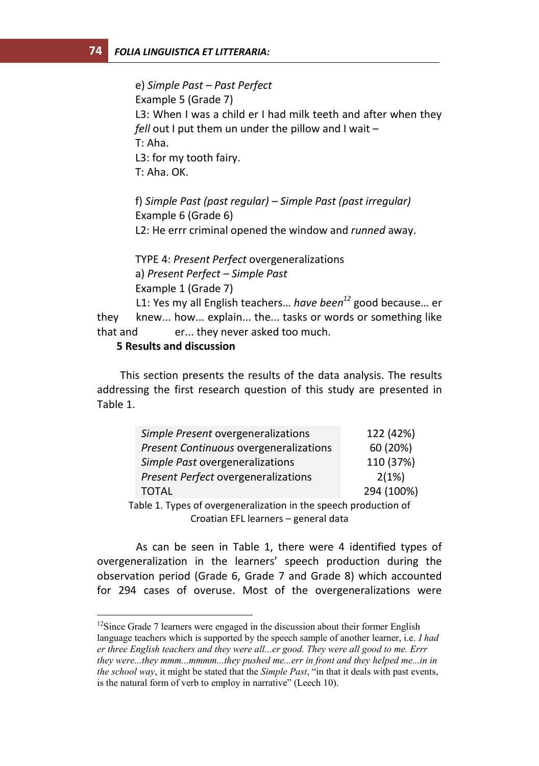e) *Simple Past – Past Perfect* Example 5 (Grade 7) L3: When I was a child er I had milk teeth and after when they *fell* out I put them un under the pillow and I wait – T: Aha. L3: for my tooth fairy. T: Aha. OK.

f) *Simple Past (past regular) – Simple Past (past irregular)*  Example 6 (Grade 6) L2: He errr criminal opened the window and *runned* away.

TYPE 4: *Present Perfect* overgeneralizations a) *Present Perfect – Simple Past*  Example 1 (Grade 7)

L1: Yes my all English teachers… *have been<sup>12</sup>* good because… er they knew... how... explain... the... tasks or words or something like that and er... they never asked too much.

## **5 Results and discussion**

 $\overline{a}$ 

This section presents the results of the data analysis. The results addressing the first research question of this study are presented in Table 1.

|                                                                  | Simple Present overgeneralizations     | 122 (42%)  |  |  |  |  |  |  |
|------------------------------------------------------------------|----------------------------------------|------------|--|--|--|--|--|--|
|                                                                  | Present Continuous overgeneralizations | 60 (20%)   |  |  |  |  |  |  |
|                                                                  | Simple Past overgeneralizations        | 110 (37%)  |  |  |  |  |  |  |
|                                                                  | Present Perfect overgeneralizations    | 2(1%)      |  |  |  |  |  |  |
|                                                                  | <b>TOTAL</b>                           | 294 (100%) |  |  |  |  |  |  |
| Table 1. Types of overgeneralization in the speech production of |                                        |            |  |  |  |  |  |  |
|                                                                  | Croatian EFL learners - general data   |            |  |  |  |  |  |  |

As can be seen in Table 1, there were 4 identified types of overgeneralization in the learners' speech production during the observation period (Grade 6, Grade 7 and Grade 8) which accounted for 294 cases of overuse. Most of the overgeneralizations were

 $12$ Since Grade 7 learners were engaged in the discussion about their former English language teachers which is supported by the speech sample of another learner, i.e. *I had er three English teachers and they were all...er good. They were all good to me. Errr they were...they mmm...mmmm...they pushed me...err in front and they helped me...in in the school way*, it might be stated that the *Simple Past*, "in that it deals with past events, is the natural form of verb to employ in narrative" (Leech 10).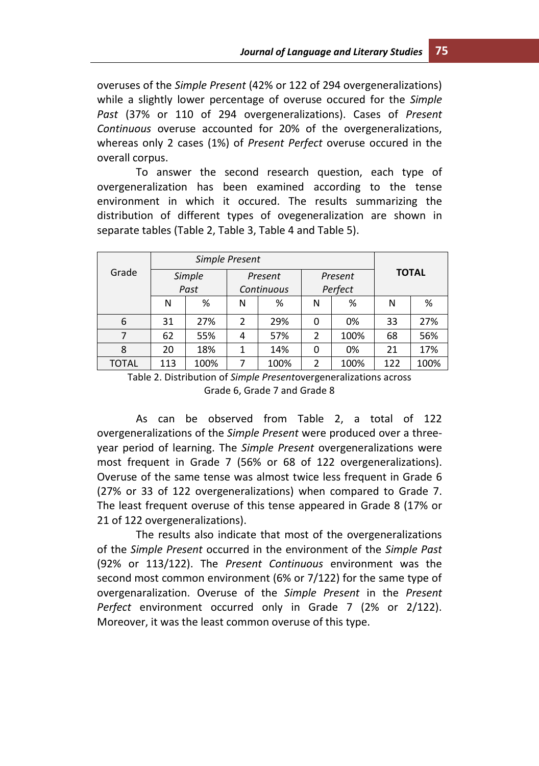overuses of the *Simple Present* (42% or 122 of 294 overgeneralizations) while a slightly lower percentage of overuse occured for the *Simple Past* (37% or 110 of 294 overgeneralizations). Cases of *Present Continuous* overuse accounted for 20% of the overgeneralizations, whereas only 2 cases (1%) of *Present Perfect* overuse occured in the overall corpus.

To answer the second research question, each type of overgeneralization has been examined according to the tense environment in which it occured. The results summarizing the distribution of different types of ovegeneralization are shown in separate tables (Table 2, Table 3, Table 4 and Table 5).

| Grade        | Simple      |     |   | Present    |   | Present | <b>TOTAL</b> |      |  |
|--------------|-------------|-----|---|------------|---|---------|--------------|------|--|
|              | Past        |     |   | Continuous |   | Perfect |              |      |  |
|              | N           | %   | N | %          | N | %       | Ν            | %    |  |
| 6            | 31          | 27% | 2 | 29%        | 0 | 0%      | 33           | 27%  |  |
| 7            | 62          | 55% | 4 | 57%        | 2 | 100%    | 68           | 56%  |  |
| 8            | 20          | 18% | 1 | 14%        | 0 | 0%      | 21           | 17%  |  |
| <b>TOTAL</b> | 100%<br>113 |     |   | 100%       | 2 | 100%    | 122          | 100% |  |

Table 2. Distribution of *Simple Present*overgeneralizations across Grade 6, Grade 7 and Grade 8

As can be observed from Table 2, a total of 122 overgeneralizations of the *Simple Present* were produced over a threeyear period of learning. The *Simple Present* overgeneralizations were most frequent in Grade 7 (56% or 68 of 122 overgeneralizations). Overuse of the same tense was almost twice less frequent in Grade 6 (27% or 33 of 122 overgeneralizations) when compared to Grade 7. The least frequent overuse of this tense appeared in Grade 8 (17% or 21 of 122 overgeneralizations).

The results also indicate that most of the overgeneralizations of the *Simple Present* occurred in the environment of the *Simple Past* (92% or 113/122). The *Present Continuous* environment was the second most common environment (6% or 7/122) for the same type of overgenaralization. Overuse of the *Simple Present* in the *Present Perfect* environment occurred only in Grade 7 (2% or 2/122). Moreover, it was the least common overuse of this type.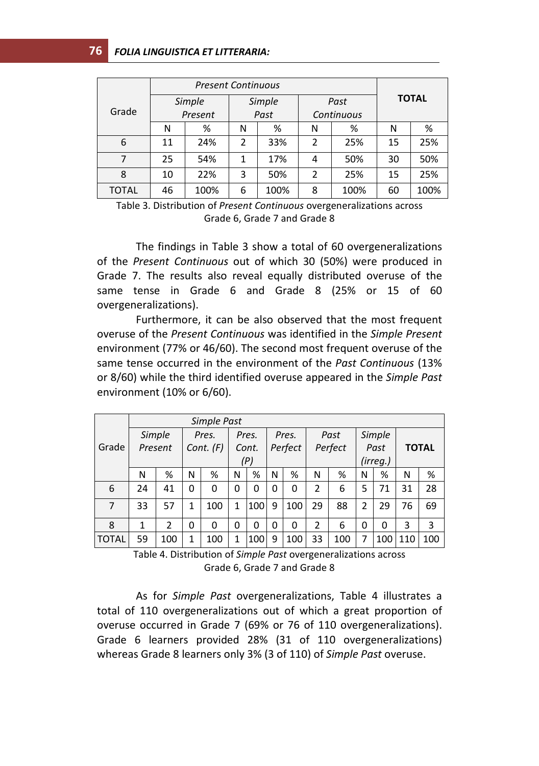|              |         | Simple |               | Simple |   | Past       | <b>TOTAL</b> |      |  |
|--------------|---------|--------|---------------|--------|---|------------|--------------|------|--|
| Grade        | Present |        |               | Past   |   | Continuous |              |      |  |
|              | N       | %      | N             | %      | N | %          | N            | %    |  |
| 6            | 11      | 24%    | $\mathfrak z$ | 33%    | 2 | 25%        | 15           | 25%  |  |
|              | 25      | 54%    | 1             | 17%    | 4 | 50%        | 30           | 50%  |  |
| 8            | 10      | 22%    | 3             | 50%    | 2 | 25%        | 15           | 25%  |  |
| <b>TOTAL</b> | 46      | 100%   | 6             | 100%   | 8 | 100%       | 60           | 100% |  |

Table 3. Distribution of *Present Continuous* overgeneralizations across Grade 6, Grade 7 and Grade 8

The findings in Table 3 show a total of 60 overgeneralizations of the *Present Continuous* out of which 30 (50%) were produced in Grade 7. The results also reveal equally distributed overuse of the same tense in Grade 6 and Grade 8 (25% or 15 of 60 overgeneralizations).

Furthermore, it can be also observed that the most frequent overuse of the *Present Continuous* was identified in the *Simple Present* environment (77% or 46/60). The second most frequent overuse of the same tense occurred in the environment of the *Past Continuous* (13% or 8/60) while the third identified overuse appeared in the *Simple Past* environment (10% or 6/60).

|              | Simple Past |     |             |     |       |              |         |          |                |     |        |          |              |     |
|--------------|-------------|-----|-------------|-----|-------|--------------|---------|----------|----------------|-----|--------|----------|--------------|-----|
|              | Simple      |     | Pres.       |     | Pres. |              | Pres.   |          | Past           |     | Simple |          | <b>TOTAL</b> |     |
| Grade        | Present     |     | Cont. $(F)$ |     | Cont. |              | Perfect |          | Perfect        |     | Past   |          |              |     |
|              |             |     |             |     |       | (P)          |         |          |                |     |        | (irreg.) |              |     |
|              | Ν           | %   | N           | %   | Ν     | %            | N       | %        | N              | %   | N      | %        | N            | %   |
| 6            | 24          | 41  | 0           | 0   | 0     | 0            | 0       | 0        | $\overline{2}$ | 6   | 5      | 71       | 31           | 28  |
| 7            | 33          | 57  | 1           | 100 | 1     | 100          | 9       | 100      | 29             | 88  | 2      | 29       | 76           | 69  |
| 8            | 1           | 2   | 0           | 0   | 0     | $\mathbf{0}$ | 0       | $\Omega$ | 2              | 6   | 0      | 0        | 3            | 3   |
| <b>TOTAL</b> | 59          | 100 | 1           | 100 | 1     | 100          | 9       | 100      | 33             | 100 | 7      | 100      | 110          | 100 |

Table 4. Distribution of *Simple Past* overgeneralizations across Grade 6, Grade 7 and Grade 8

As for *Simple Past* overgeneralizations, Table 4 illustrates a total of 110 overgeneralizations out of which a great proportion of overuse occurred in Grade 7 (69% or 76 of 110 overgeneralizations). Grade 6 learners provided 28% (31 of 110 overgeneralizations) whereas Grade 8 learners only 3% (3 of 110) of *Simple Past* overuse.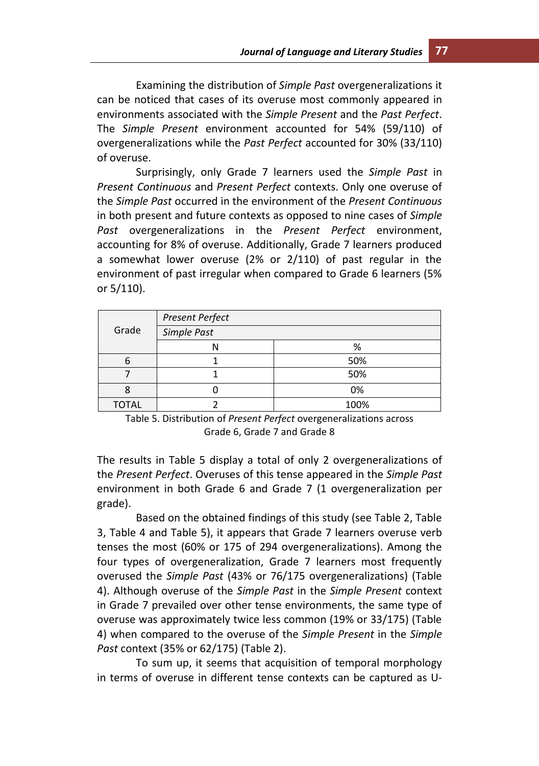Examining the distribution of *Simple Past* overgeneralizations it can be noticed that cases of its overuse most commonly appeared in environments associated with the *Simple Present* and the *Past Perfect*. The *Simple Present* environment accounted for 54% (59/110) of overgeneralizations while the *Past Perfect* accounted for 30% (33/110) of overuse.

Surprisingly, only Grade 7 learners used the *Simple Past* in *Present Continuous* and *Present Perfect* contexts. Only one overuse of the *Simple Past* occurred in the environment of the *Present Continuous* in both present and future contexts as opposed to nine cases of *Simple Past* overgeneralizations in the *Present Perfect* environment, accounting for 8% of overuse. Additionally, Grade 7 learners produced a somewhat lower overuse (2% or 2/110) of past regular in the environment of past irregular when compared to Grade 6 learners (5% or 5/110).

|              | Present Perfect |      |  |  |  |  |  |
|--------------|-----------------|------|--|--|--|--|--|
| Grade        | Simple Past     |      |  |  |  |  |  |
|              |                 | %    |  |  |  |  |  |
|              |                 | 50%  |  |  |  |  |  |
|              |                 | 50%  |  |  |  |  |  |
|              |                 | 0%   |  |  |  |  |  |
| <b>TOTAL</b> |                 | 100% |  |  |  |  |  |

Table 5. Distribution of *Present Perfect* overgeneralizations across Grade 6, Grade 7 and Grade 8

The results in Table 5 display a total of only 2 overgeneralizations of the *Present Perfect*. Overuses of this tense appeared in the *Simple Past* environment in both Grade 6 and Grade 7 (1 overgeneralization per grade).

Based on the obtained findings of this study (see Table 2, Table 3, Table 4 and Table 5), it appears that Grade 7 learners overuse verb tenses the most (60% or 175 of 294 overgeneralizations). Among the four types of overgeneralization, Grade 7 learners most frequently overused the *Simple Past* (43% or 76/175 overgeneralizations) (Table 4). Although overuse of the *Simple Past* in the *Simple Present* context in Grade 7 prevailed over other tense environments, the same type of overuse was approximately twice less common (19% or 33/175) (Table 4) when compared to the overuse of the *Simple Present* in the *Simple Past* context (35% or 62/175) (Table 2).

To sum up, it seems that acquisition of temporal morphology in terms of overuse in different tense contexts can be captured as U-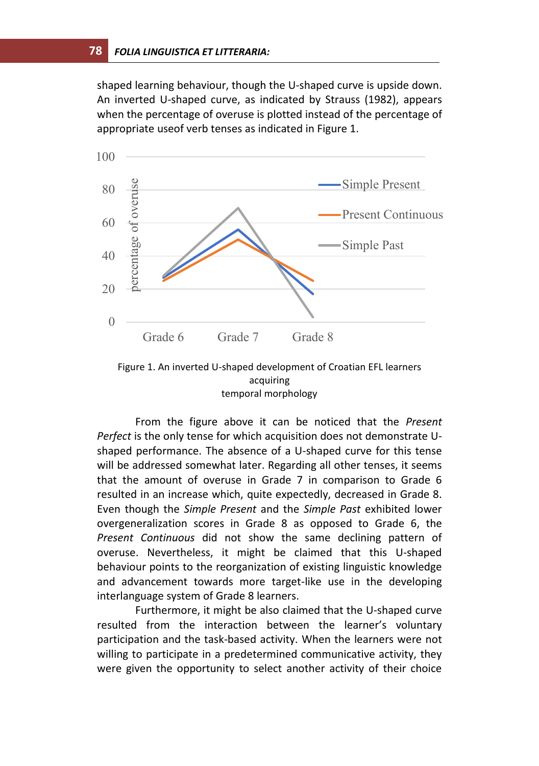shaped learning behaviour, though the U-shaped curve is upside down. An inverted U-shaped curve, as indicated by Strauss (1982), appears when the percentage of overuse is plotted instead of the percentage of appropriate useof verb tenses as indicated in Figure 1.



Figure 1. An inverted U-shaped development of Croatian EFL learners acquiring temporal morphology

From the figure above it can be noticed that the *Present Perfect* is the only tense for which acquisition does not demonstrate Ushaped performance. The absence of a U-shaped curve for this tense will be addressed somewhat later. Regarding all other tenses, it seems that the amount of overuse in Grade 7 in comparison to Grade 6 resulted in an increase which, quite expectedly, decreased in Grade 8. Even though the *Simple Present* and the *Simple Past* exhibited lower overgeneralization scores in Grade 8 as opposed to Grade 6, the *Present Continuous* did not show the same declining pattern of overuse. Nevertheless, it might be claimed that this U-shaped behaviour points to the reorganization of existing linguistic knowledge and advancement towards more target-like use in the developing interlanguage system of Grade 8 learners.

Furthermore, it might be also claimed that the U-shaped curve resulted from the interaction between the learner's voluntary participation and the task-based activity. When the learners were not willing to participate in a predetermined communicative activity, they were given the opportunity to select another activity of their choice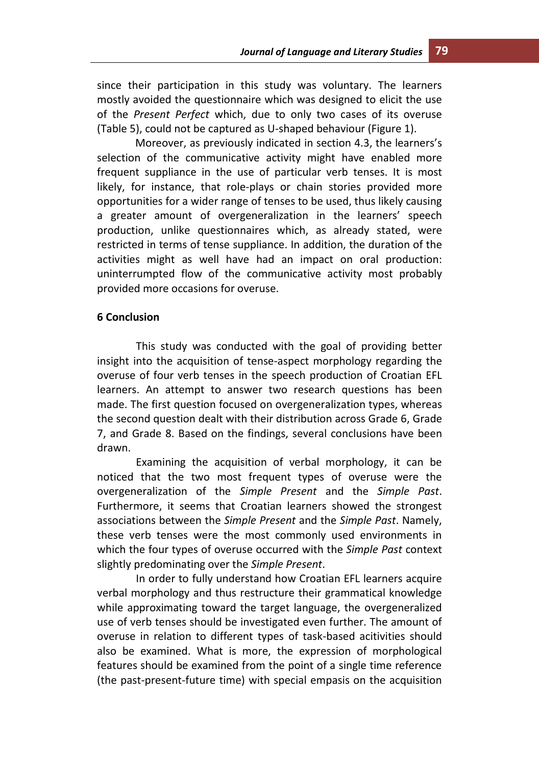since their participation in this study was voluntary. The learners mostly avoided the questionnaire which was designed to elicit the use of the *Present Perfect* which, due to only two cases of its overuse (Table 5), could not be captured as U-shaped behaviour (Figure 1).

Moreover, as previously indicated in section 4.3, the learners's selection of the communicative activity might have enabled more frequent suppliance in the use of particular verb tenses. It is most likely, for instance, that role-plays or chain stories provided more opportunities for a wider range of tenses to be used, thus likely causing a greater amount of overgeneralization in the learners' speech production, unlike questionnaires which, as already stated, were restricted in terms of tense suppliance. In addition, the duration of the activities might as well have had an impact on oral production: uninterrumpted flow of the communicative activity most probably provided more occasions for overuse.

### **6 Conclusion**

This study was conducted with the goal of providing better insight into the acquisition of tense-aspect morphology regarding the overuse of four verb tenses in the speech production of Croatian EFL learners. An attempt to answer two research questions has been made. The first question focused on overgeneralization types, whereas the second question dealt with their distribution across Grade 6, Grade 7, and Grade 8. Based on the findings, several conclusions have been drawn.

Examining the acquisition of verbal morphology, it can be noticed that the two most frequent types of overuse were the overgeneralization of the *Simple Present* and the *Simple Past*. Furthermore, it seems that Croatian learners showed the strongest associations between the *Simple Present* and the *Simple Past*. Namely, these verb tenses were the most commonly used environments in which the four types of overuse occurred with the *Simple Past* context slightly predominating over the *Simple Present*.

In order to fully understand how Croatian EFL learners acquire verbal morphology and thus restructure their grammatical knowledge while approximating toward the target language, the overgeneralized use of verb tenses should be investigated even further. The amount of overuse in relation to different types of task-based acitivities should also be examined. What is more, the expression of morphological features should be examined from the point of a single time reference (the past-present-future time) with special empasis on the acquisition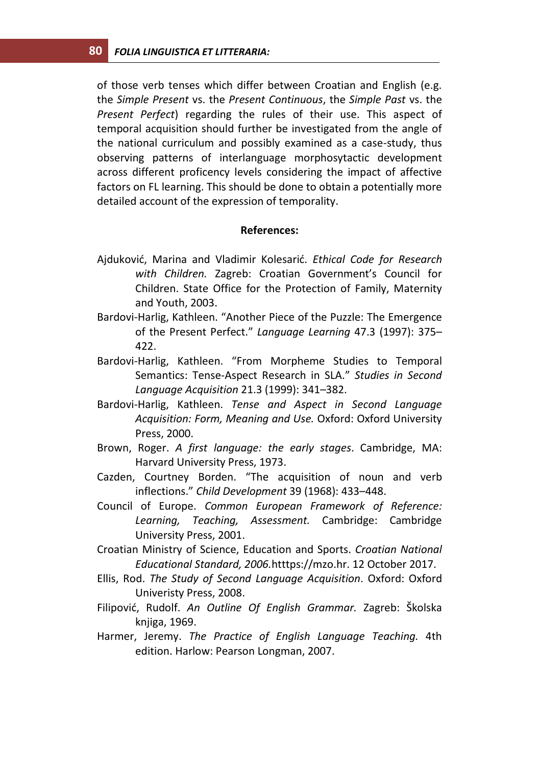of those verb tenses which differ between Croatian and English (e.g. the *Simple Present* vs. the *Present Continuous*, the *Simple Past* vs. the *Present Perfect*) regarding the rules of their use. This aspect of temporal acquisition should further be investigated from the angle of the national curriculum and possibly examined as a case-study, thus observing patterns of interlanguage morphosytactic development across different proficency levels considering the impact of affective factors on FL learning. This should be done to obtain a potentially more detailed account of the expression of temporality.

#### **References:**

- Ajduković, Marina and Vladimir Kolesarić. *Ethical Code for Research with Children.* Zagreb: Croatian Government's Council for Children. State Office for the Protection of Family, Maternity and Youth, 2003.
- Bardovi-Harlig, Kathleen. "Another Piece of the Puzzle: The Emergence of the Present Perfect." *Language Learning* 47.3 (1997): 375– 422.
- Bardovi-Harlig, Kathleen. "From Morpheme Studies to Temporal Semantics: Tense-Aspect Research in SLA." *Studies in Second Language Acquisition* 21.3 (1999): 341–382.
- Bardovi-Harlig, Kathleen. *Tense and Aspect in Second Language Acquisition: Form, Meaning and Use.* Oxford: Oxford University Press, 2000.
- Brown, Roger. *A first language: the early stages*. Cambridge, MA: Harvard University Press, 1973.
- Cazden, Courtney Borden. "The acquisition of noun and verb inflections." *Child Development* 39 (1968): 433–448.
- Council of Europe. *Common European Framework of Reference: Learning, Teaching, Assessment.* Cambridge: Cambridge University Press, 2001.
- Croatian Ministry of Science, Education and Sports. *Croatian National Educational Standard, 2006.*htttps://mzo.hr. 12 October 2017.
- Ellis, Rod. *The Study of Second Language Acquisition*. Oxford: Oxford Univeristy Press, 2008.
- Filipović, Rudolf. *An Outline Of English Grammar.* Zagreb: Školska knjiga, 1969.
- Harmer, Jeremy. *The Practice of English Language Teaching.* 4th edition. Harlow: Pearson Longman, 2007.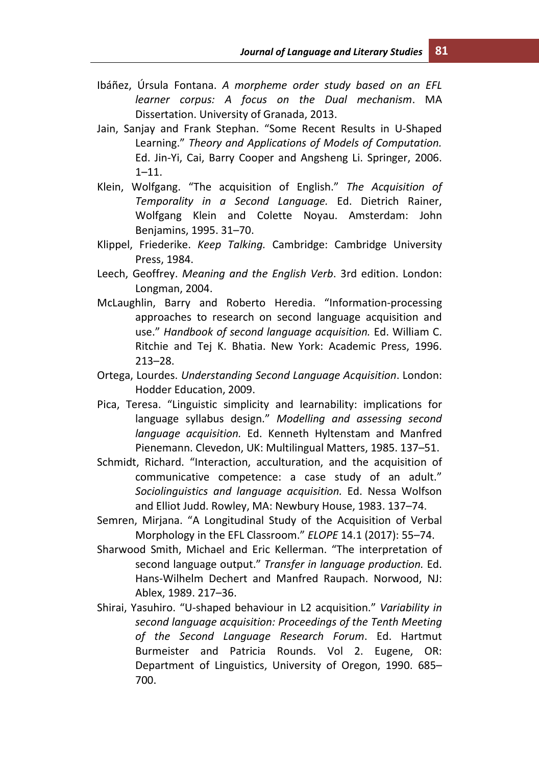- Ibáñez, Úrsula Fontana. *A morpheme order study based on an EFL learner corpus: A focus on the Dual mechanism*. MA Dissertation. University of Granada, 2013.
- Jain, Sanjay and Frank Stephan. "Some Recent Results in U-Shaped Learning." *Theory and Applications of Models of Computation.* Ed. Jin-Yi, Cai, Barry Cooper and Angsheng Li. Springer, 2006. 1–11.
- Klein, Wolfgang. "The acquisition of English." *The Acquisition of Temporality in a Second Language.* Ed. Dietrich Rainer, Wolfgang Klein and Colette Noyau. Amsterdam: John Benjamins, 1995. 31–70.
- Klippel, Friederike. *Keep Talking.* Cambridge: Cambridge University Press, 1984.
- Leech, Geoffrey. *Meaning and the English Verb*. 3rd edition. London: Longman, 2004.
- McLaughlin, Barry and Roberto Heredia. "Information-processing approaches to research on second language acquisition and use." *Handbook of second language acquisition.* Ed. William C. Ritchie and Tej K. Bhatia. New York: Academic Press, 1996. 213–28.
- Ortega, Lourdes. *Understanding Second Language Acquisition*. London: Hodder Education, 2009.
- Pica, Teresa. "Linguistic simplicity and learnability: implications for language syllabus design." *Modelling and assessing second language acquisition.* Ed. Kenneth Hyltenstam and Manfred Pienemann. Clevedon, UK: Multilingual Matters, 1985. 137–51.
- Schmidt, Richard. "Interaction, acculturation, and the acquisition of communicative competence: a case study of an adult." *Sociolinguistics and language acquisition.* Ed. Nessa Wolfson and Elliot Judd. Rowley, MA: Newbury House, 1983. 137–74.
- Semren, Mirjana. "A Longitudinal Study of the Acquisition of Verbal Morphology in the EFL Classroom." *ELOPE* 14.1 (2017): 55–74.
- Sharwood Smith, Michael and Eric Kellerman. "The interpretation of second language output." *Transfer in language production.* Ed. Hans-Wilhelm Dechert and Manfred Raupach. Norwood, NJ: Ablex, 1989. 217–36.
- Shirai, Yasuhiro. "U-shaped behaviour in L2 acquisition." *Variability in second language acquisition: Proceedings of the Tenth Meeting of the Second Language Research Forum*. Ed. Hartmut Burmeister and Patricia Rounds. Vol 2. Eugene, OR: Department of Linguistics, University of Oregon, 1990. 685– 700.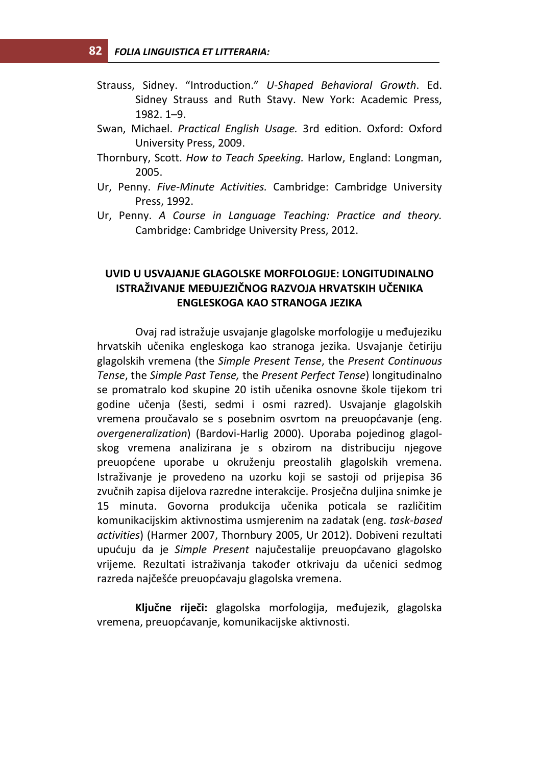- Strauss, Sidney. "Introduction." *U-Shaped Behavioral Growth*. Ed. Sidney Strauss and Ruth Stavy. New York: Academic Press, 1982. 1–9.
- Swan, Michael. *Practical English Usage.* 3rd edition. Oxford: Oxford University Press, 2009.
- Thornbury, Scott. *How to Teach Speeking.* Harlow, England: Longman, 2005.
- Ur, Penny. *Five-Minute Activities.* Cambridge: Cambridge University Press, 1992.
- Ur, Penny. *A Course in Language Teaching: Practice and theory.* Cambridge: Cambridge University Press, 2012.

## **UVID U USVAJANJE GLAGOLSKE MORFOLOGIJE: LONGITUDINALNO ISTRAŽIVANJE MEĐUJEZIČNOG RAZVOJA HRVATSKIH UČENIKA ENGLESKOGA KAO STRANOGA JEZIKA**

Ovaj rad istražuje usvajanje glagolske morfologije u međujeziku hrvatskih učenika engleskoga kao stranoga jezika. Usvajanje četiriju glagolskih vremena (the *Simple Present Tense*, the *Present Continuous Tense*, the *Simple Past Tense,* the *Present Perfect Tense*) longitudinalno se promatralo kod skupine 20 istih učenika osnovne škole tijekom tri godine učenja (šesti, sedmi i osmi razred). Usvajanje glagolskih vremena proučavalo se s posebnim osvrtom na preuopćavanje (eng. *overgeneralization*) (Bardovi-Harlig 2000). Uporaba pojedinog glagolskog vremena analizirana je s obzirom na distribuciju njegove preuopćene uporabe u okruženju preostalih glagolskih vremena. Istraživanje je provedeno na uzorku koji se sastoji od prijepisa 36 zvučnih zapisa dijelova razredne interakcije. Prosječna duljina snimke je 15 minuta. Govorna produkcija učenika poticala se različitim komunikacijskim aktivnostima usmjerenim na zadatak (eng. *task-based activities*) (Harmer 2007, Thornbury 2005, Ur 2012). Dobiveni rezultati upućuju da je *Simple Present* najučestalije preuopćavano glagolsko vrijeme*.* Rezultati istraživanja također otkrivaju da učenici sedmog razreda najčešće preuopćavaju glagolska vremena.

**Ključne riječi:** glagolska morfologija, međujezik, glagolska vremena, preuopćavanje, komunikacijske aktivnosti.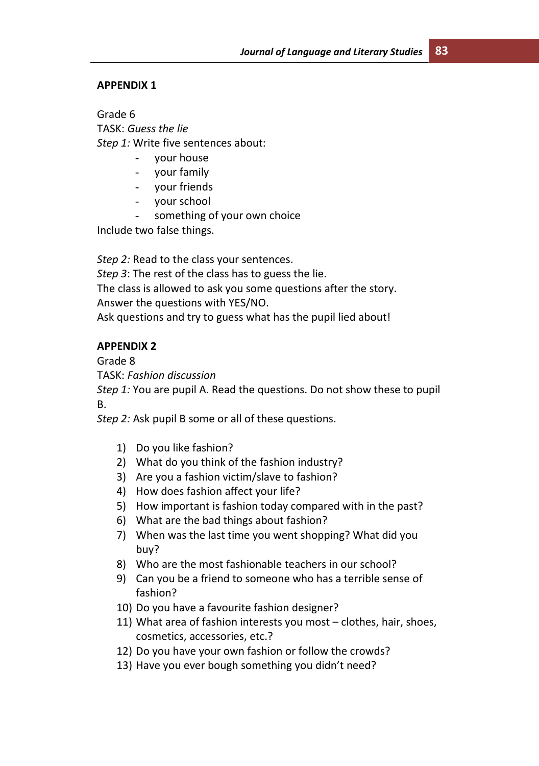## **APPENDIX 1**

Grade 6 TASK: *Guess the lie Step 1:* Write five sentences about: - your house

- your family
- your friends
- your school
- something of your own choice

Include two false things.

*Step 2:* Read to the class your sentences. *Step 3*: The rest of the class has to guess the lie. The class is allowed to ask you some questions after the story. Answer the questions with YES/NO. Ask questions and try to guess what has the pupil lied about!

## **APPENDIX 2**

Grade 8

TASK: *Fashion discussion*

*Step 1:* You are pupil A. Read the questions. Do not show these to pupil B.

*Step 2:* Ask pupil B some or all of these questions.

- 1) Do you like fashion?
- 2) What do you think of the fashion industry?
- 3) Are you a fashion victim/slave to fashion?
- 4) How does fashion affect your life?
- 5) How important is fashion today compared with in the past?
- 6) What are the bad things about fashion?
- 7) When was the last time you went shopping? What did you buy?
- 8) Who are the most fashionable teachers in our school?
- 9) Can you be a friend to someone who has a terrible sense of fashion?
- 10) Do you have a favourite fashion designer?
- 11) What area of fashion interests you most clothes, hair, shoes, cosmetics, accessories, etc.?
- 12) Do you have your own fashion or follow the crowds?
- 13) Have you ever bough something you didn't need?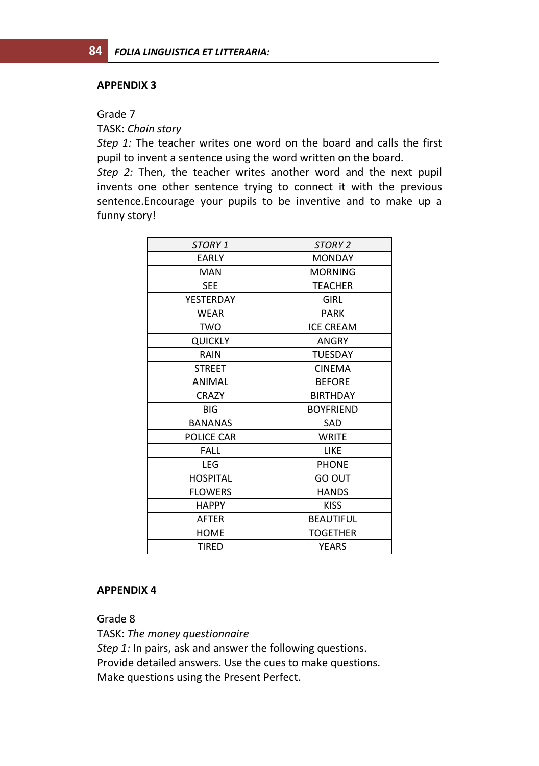#### **APPENDIX 3**

Grade 7

TASK: *Chain story*

*Step 1:* The teacher writes one word on the board and calls the first pupil to invent a sentence using the word written on the board.

*Step 2:* Then, the teacher writes another word and the next pupil invents one other sentence trying to connect it with the previous sentence.Encourage your pupils to be inventive and to make up a funny story!

| STORY 1         | STORY 2          |
|-----------------|------------------|
| <b>EARLY</b>    | <b>MONDAY</b>    |
| <b>MAN</b>      | <b>MORNING</b>   |
| <b>SEE</b>      | <b>TEACHER</b>   |
| YESTERDAY       | <b>GIRL</b>      |
| <b>WEAR</b>     | <b>PARK</b>      |
| <b>TWO</b>      | <b>ICE CREAM</b> |
| <b>QUICKLY</b>  | <b>ANGRY</b>     |
| RAIN            | <b>TUESDAY</b>   |
| <b>STREET</b>   | <b>CINEMA</b>    |
| <b>ANIMAL</b>   | <b>BEFORE</b>    |
| <b>CRAZY</b>    | <b>BIRTHDAY</b>  |
| <b>BIG</b>      | <b>BOYFRIEND</b> |
| <b>BANANAS</b>  | SAD              |
| POLICE CAR      | <b>WRITE</b>     |
| <b>FALL</b>     | LIKE             |
| <b>LEG</b>      | <b>PHONE</b>     |
| <b>HOSPITAL</b> | GO OUT           |
| <b>FLOWERS</b>  | <b>HANDS</b>     |
| <b>HAPPY</b>    | <b>KISS</b>      |
| <b>AFTER</b>    | <b>BEAUTIFUL</b> |
| <b>HOME</b>     | <b>TOGETHER</b>  |
| <b>TIRED</b>    | <b>YEARS</b>     |

#### **APPENDIX 4**

Grade 8

TASK: *The money questionnaire Step 1:* In pairs, ask and answer the following questions. Provide detailed answers. Use the cues to make questions. Make questions using the Present Perfect.